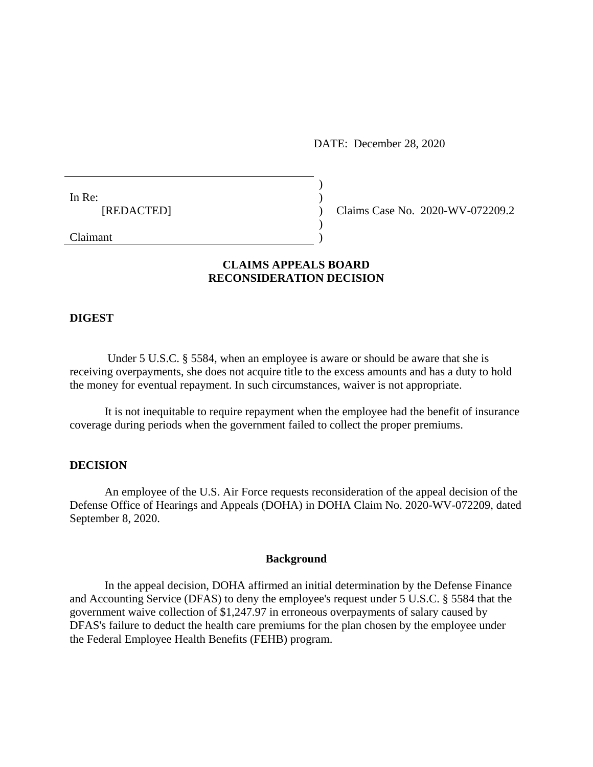DATE: December 28, 2020

In Re:  $\qquad \qquad$ )

[REDACTED] ) Claims Case No. 2020-WV-072209.2

Claimant )

## **CLAIMS APPEALS BOARD RECONSIDERATION DECISION**

)

 $\mathcal{L}$ 

#### **DIGEST**

Under 5 U.S.C. § 5584, when an employee is aware or should be aware that she is receiving overpayments, she does not acquire title to the excess amounts and has a duty to hold the money for eventual repayment. In such circumstances, waiver is not appropriate.

It is not inequitable to require repayment when the employee had the benefit of insurance coverage during periods when the government failed to collect the proper premiums.

### **DECISION**

An employee of the U.S. Air Force requests reconsideration of the appeal decision of the Defense Office of Hearings and Appeals (DOHA) in DOHA Claim No. 2020-WV-072209, dated September 8, 2020.

### **Background**

In the appeal decision, DOHA affirmed an initial determination by the Defense Finance and Accounting Service (DFAS) to deny the employee's request under 5 U.S.C. § 5584 that the government waive collection of \$1,247.97 in erroneous overpayments of salary caused by DFAS's failure to deduct the health care premiums for the plan chosen by the employee under the Federal Employee Health Benefits (FEHB) program.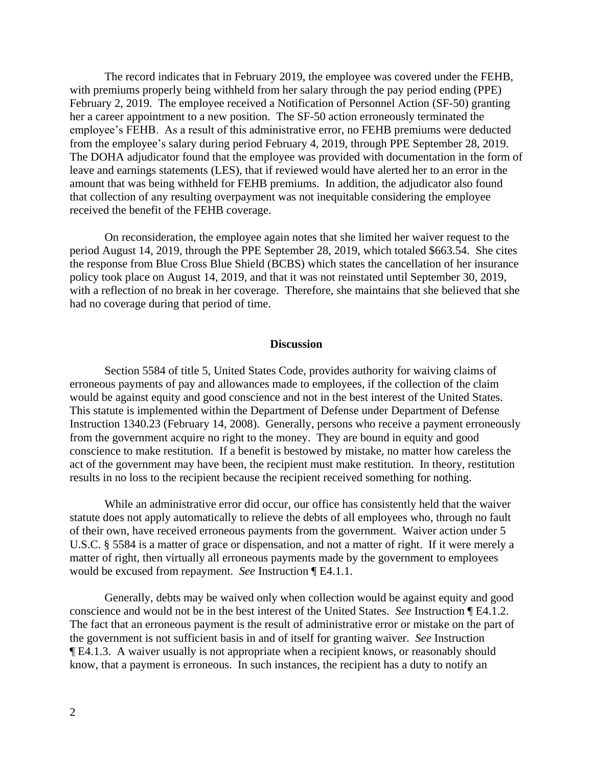The record indicates that in February 2019, the employee was covered under the FEHB, with premiums properly being withheld from her salary through the pay period ending (PPE) February 2, 2019. The employee received a Notification of Personnel Action (SF-50) granting her a career appointment to a new position. The SF-50 action erroneously terminated the employee's FEHB. As a result of this administrative error, no FEHB premiums were deducted from the employee's salary during period February 4, 2019, through PPE September 28, 2019. The DOHA adjudicator found that the employee was provided with documentation in the form of leave and earnings statements (LES), that if reviewed would have alerted her to an error in the amount that was being withheld for FEHB premiums. In addition, the adjudicator also found that collection of any resulting overpayment was not inequitable considering the employee received the benefit of the FEHB coverage.

On reconsideration, the employee again notes that she limited her waiver request to the period August 14, 2019, through the PPE September 28, 2019, which totaled \$663.54. She cites the response from Blue Cross Blue Shield (BCBS) which states the cancellation of her insurance policy took place on August 14, 2019, and that it was not reinstated until September 30, 2019, with a reflection of no break in her coverage. Therefore, she maintains that she believed that she had no coverage during that period of time.

#### **Discussion**

Section 5584 of title 5, United States Code, provides authority for waiving claims of erroneous payments of pay and allowances made to employees, if the collection of the claim would be against equity and good conscience and not in the best interest of the United States. This statute is implemented within the Department of Defense under Department of Defense Instruction 1340.23 (February 14, 2008). Generally, persons who receive a payment erroneously from the government acquire no right to the money. They are bound in equity and good conscience to make restitution. If a benefit is bestowed by mistake, no matter how careless the act of the government may have been, the recipient must make restitution. In theory, restitution results in no loss to the recipient because the recipient received something for nothing.

While an administrative error did occur, our office has consistently held that the waiver statute does not apply automatically to relieve the debts of all employees who, through no fault of their own, have received erroneous payments from the government. Waiver action under 5 U.S.C. § 5584 is a matter of grace or dispensation, and not a matter of right. If it were merely a matter of right, then virtually all erroneous payments made by the government to employees would be excused from repayment. *See* Instruction ¶ E4.1.1.

Generally, debts may be waived only when collection would be against equity and good conscience and would not be in the best interest of the United States. *See* Instruction ¶ E4.1.2. The fact that an erroneous payment is the result of administrative error or mistake on the part of the government is not sufficient basis in and of itself for granting waiver. *See* Instruction ¶ E4.1.3. A waiver usually is not appropriate when a recipient knows, or reasonably should know, that a payment is erroneous. In such instances, the recipient has a duty to notify an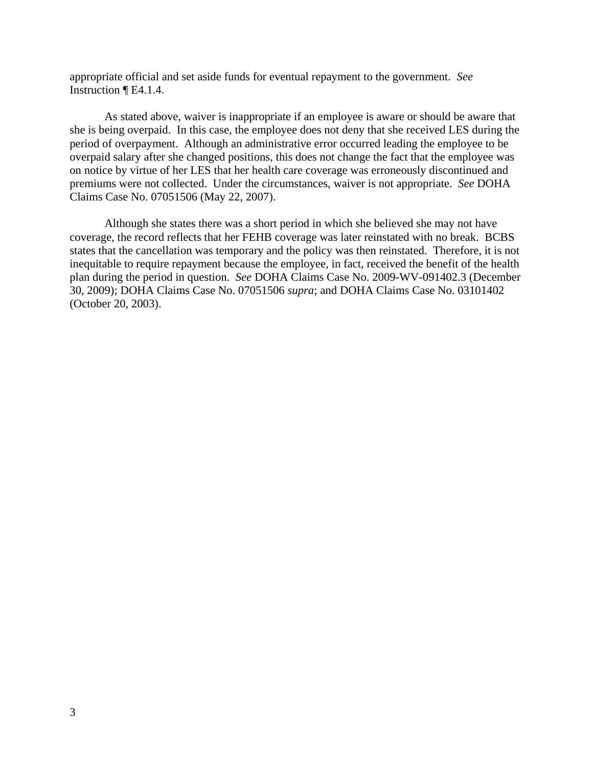appropriate official and set aside funds for eventual repayment to the government. *See*  Instruction ¶ E4.1.4.

As stated above, waiver is inappropriate if an employee is aware or should be aware that she is being overpaid. In this case, the employee does not deny that she received LES during the period of overpayment. Although an administrative error occurred leading the employee to be overpaid salary after she changed positions, this does not change the fact that the employee was on notice by virtue of her LES that her health care coverage was erroneously discontinued and premiums were not collected. Under the circumstances, waiver is not appropriate. *See* DOHA Claims Case No. 07051506 (May 22, 2007).

Although she states there was a short period in which she believed she may not have coverage, the record reflects that her FEHB coverage was later reinstated with no break. BCBS states that the cancellation was temporary and the policy was then reinstated. Therefore, it is not inequitable to require repayment because the employee, in fact, received the benefit of the health plan during the period in question. *See* DOHA Claims Case No. 2009-WV-091402.3 (December 30, 2009); DOHA Claims Case No. 07051506 *supra*; and DOHA Claims Case No. 03101402 (October 20, 2003).